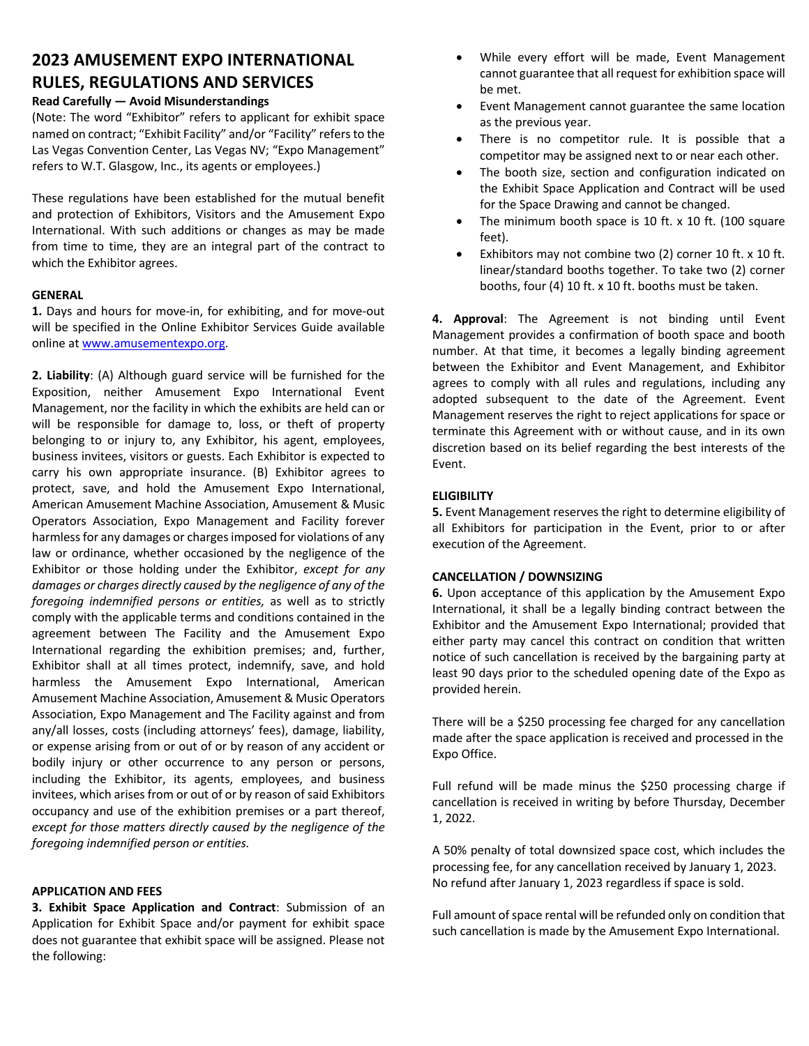# **2023 AMUSEMENT EXPO INTERNATIONAL RULES, REGULATIONS AND SERVICES**

# **Read Carefully — Avoid Misunderstandings**

(Note: The word "Exhibitor" refers to applicant for exhibit space named on contract; "Exhibit Facility" and/or "Facility" refers to the Las Vegas Convention Center, Las Vegas NV; "Expo Management" refers to W.T. Glasgow, Inc., its agents or employees.)

These regulations have been established for the mutual benefit and protection of Exhibitors, Visitors and the Amusement Expo International. With such additions or changes as may be made from time to time, they are an integral part of the contract to which the Exhibitor agrees.

# **GENERAL**

**1.** Days and hours for move-in, for exhibiting, and for move-out will be specified in the Online Exhibitor Services Guide available online at www.amusementexpo.org.

**2. Liability**: (A) Although guard service will be furnished for the Exposition, neither Amusement Expo International Event Management, nor the facility in which the exhibits are held can or will be responsible for damage to, loss, or theft of property belonging to or injury to, any Exhibitor, his agent, employees, business invitees, visitors or guests. Each Exhibitor is expected to carry his own appropriate insurance. (B) Exhibitor agrees to protect, save, and hold the Amusement Expo International, American Amusement Machine Association, Amusement & Music Operators Association, Expo Management and Facility forever harmless for any damages or charges imposed for violations of any law or ordinance, whether occasioned by the negligence of the Exhibitor or those holding under the Exhibitor, *except for any damages or charges directly caused by the negligence of any of the foregoing indemnified persons or entities,* as well as to strictly comply with the applicable terms and conditions contained in the agreement between The Facility and the Amusement Expo International regarding the exhibition premises; and, further, Exhibitor shall at all times protect, indemnify, save, and hold harmless the Amusement Expo International, American Amusement Machine Association, Amusement & Music Operators Association, Expo Management and The Facility against and from any/all losses, costs (including attorneys' fees), damage, liability, or expense arising from or out of or by reason of any accident or bodily injury or other occurrence to any person or persons, including the Exhibitor, its agents, employees, and business invitees, which arises from or out of or by reason of said Exhibitors occupancy and use of the exhibition premises or a part thereof, *except for those matters directly caused by the negligence of the foregoing indemnified person or entities.*

# **APPLICATION AND FEES**

**3. Exhibit Space Application and Contract**: Submission of an Application for Exhibit Space and/or payment for exhibit space does not guarantee that exhibit space will be assigned. Please not the following:

- While every effort will be made, Event Management cannot guarantee that all request for exhibition space will be met.
- Event Management cannot guarantee the same location as the previous year.
- There is no competitor rule. It is possible that a competitor may be assigned next to or near each other.
- The booth size, section and configuration indicated on the Exhibit Space Application and Contract will be used for the Space Drawing and cannot be changed.
- The minimum booth space is 10 ft.  $x$  10 ft. (100 square feet).
- Exhibitors may not combine two (2) corner 10 ft. x 10 ft. linear/standard booths together. To take two (2) corner booths, four (4) 10 ft. x 10 ft. booths must be taken.

**4. Approval**: The Agreement is not binding until Event Management provides a confirmation of booth space and booth number. At that time, it becomes a legally binding agreement between the Exhibitor and Event Management, and Exhibitor agrees to comply with all rules and regulations, including any adopted subsequent to the date of the Agreement. Event Management reserves the right to reject applications for space or terminate this Agreement with or without cause, and in its own discretion based on its belief regarding the best interests of the Event.

## **ELIGIBILITY**

**5.** Event Management reserves the right to determine eligibility of all Exhibitors for participation in the Event, prior to or after execution of the Agreement.

# **CANCELLATION / DOWNSIZING**

**6.** Upon acceptance of this application by the Amusement Expo International, it shall be a legally binding contract between the Exhibitor and the Amusement Expo International; provided that either party may cancel this contract on condition that written notice of such cancellation is received by the bargaining party at least 90 days prior to the scheduled opening date of the Expo as provided herein.

There will be a \$250 processing fee charged for any cancellation made after the space application is received and processed in the Expo Office.

Full refund will be made minus the \$250 processing charge if cancellation is received in writing by before Thursday, December 1, 2022.

A 50% penalty of total downsized space cost, which includes the processing fee, for any cancellation received by January 1, 2023. No refund after January 1, 2023 regardless if space is sold.

Full amount of space rental will be refunded only on condition that such cancellation is made by the Amusement Expo International.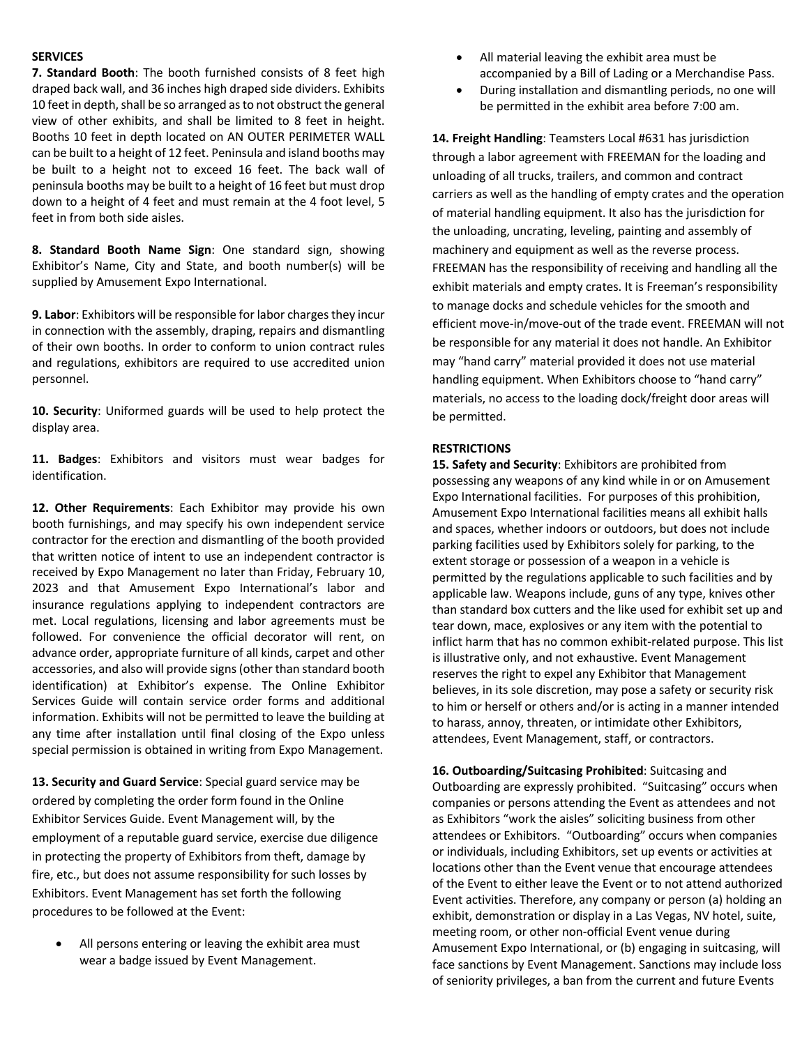#### **SERVICES**

**7. Standard Booth**: The booth furnished consists of 8 feet high draped back wall, and 36 inches high draped side dividers. Exhibits 10 feet in depth, shall be so arranged as to not obstruct the general view of other exhibits, and shall be limited to 8 feet in height. Booths 10 feet in depth located on AN OUTER PERIMETER WALL can be built to a height of 12 feet. Peninsula and island booths may be built to a height not to exceed 16 feet. The back wall of peninsula booths may be built to a height of 16 feet but must drop down to a height of 4 feet and must remain at the 4 foot level, 5 feet in from both side aisles.

**8. Standard Booth Name Sign**: One standard sign, showing Exhibitor's Name, City and State, and booth number(s) will be supplied by Amusement Expo International.

**9. Labor**: Exhibitors will be responsible for labor charges they incur in connection with the assembly, draping, repairs and dismantling of their own booths. In order to conform to union contract rules and regulations, exhibitors are required to use accredited union personnel.

**10. Security**: Uniformed guards will be used to help protect the display area.

**11. Badges**: Exhibitors and visitors must wear badges for identification.

**12. Other Requirements**: Each Exhibitor may provide his own booth furnishings, and may specify his own independent service contractor for the erection and dismantling of the booth provided that written notice of intent to use an independent contractor is received by Expo Management no later than Friday, February 10, 2023 and that Amusement Expo International's labor and insurance regulations applying to independent contractors are met. Local regulations, licensing and labor agreements must be followed. For convenience the official decorator will rent, on advance order, appropriate furniture of all kinds, carpet and other accessories, and also will provide signs(other than standard booth identification) at Exhibitor's expense. The Online Exhibitor Services Guide will contain service order forms and additional information. Exhibits will not be permitted to leave the building at any time after installation until final closing of the Expo unless special permission is obtained in writing from Expo Management.

**13. Security and Guard Service**: Special guard service may be ordered by completing the order form found in the Online Exhibitor Services Guide. Event Management will, by the employment of a reputable guard service, exercise due diligence in protecting the property of Exhibitors from theft, damage by fire, etc., but does not assume responsibility for such losses by Exhibitors. Event Management has set forth the following procedures to be followed at the Event:

All persons entering or leaving the exhibit area must wear a badge issued by Event Management.

- All material leaving the exhibit area must be accompanied by a Bill of Lading or a Merchandise Pass.
- During installation and dismantling periods, no one will be permitted in the exhibit area before 7:00 am.

**14. Freight Handling**: Teamsters Local #631 has jurisdiction through a labor agreement with FREEMAN for the loading and unloading of all trucks, trailers, and common and contract carriers as well as the handling of empty crates and the operation of material handling equipment. It also has the jurisdiction for the unloading, uncrating, leveling, painting and assembly of machinery and equipment as well as the reverse process. FREEMAN has the responsibility of receiving and handling all the exhibit materials and empty crates. It is Freeman's responsibility to manage docks and schedule vehicles for the smooth and efficient move-in/move-out of the trade event. FREEMAN will not be responsible for any material it does not handle. An Exhibitor may "hand carry" material provided it does not use material handling equipment. When Exhibitors choose to "hand carry" materials, no access to the loading dock/freight door areas will be permitted.

#### **RESTRICTIONS**

**15. Safety and Security**: Exhibitors are prohibited from possessing any weapons of any kind while in or on Amusement Expo International facilities. For purposes of this prohibition, Amusement Expo International facilities means all exhibit halls and spaces, whether indoors or outdoors, but does not include parking facilities used by Exhibitors solely for parking, to the extent storage or possession of a weapon in a vehicle is permitted by the regulations applicable to such facilities and by applicable law. Weapons include, guns of any type, knives other than standard box cutters and the like used for exhibit set up and tear down, mace, explosives or any item with the potential to inflict harm that has no common exhibit-related purpose. This list is illustrative only, and not exhaustive. Event Management reserves the right to expel any Exhibitor that Management believes, in its sole discretion, may pose a safety or security risk to him or herself or others and/or is acting in a manner intended to harass, annoy, threaten, or intimidate other Exhibitors, attendees, Event Management, staff, or contractors.

**16. Outboarding/Suitcasing Prohibited**: Suitcasing and Outboarding are expressly prohibited. "Suitcasing" occurs when companies or persons attending the Event as attendees and not as Exhibitors "work the aisles" soliciting business from other attendees or Exhibitors. "Outboarding" occurs when companies or individuals, including Exhibitors, set up events or activities at locations other than the Event venue that encourage attendees of the Event to either leave the Event or to not attend authorized Event activities. Therefore, any company or person (a) holding an exhibit, demonstration or display in a Las Vegas, NV hotel, suite, meeting room, or other non-official Event venue during Amusement Expo International, or (b) engaging in suitcasing, will face sanctions by Event Management. Sanctions may include loss of seniority privileges, a ban from the current and future Events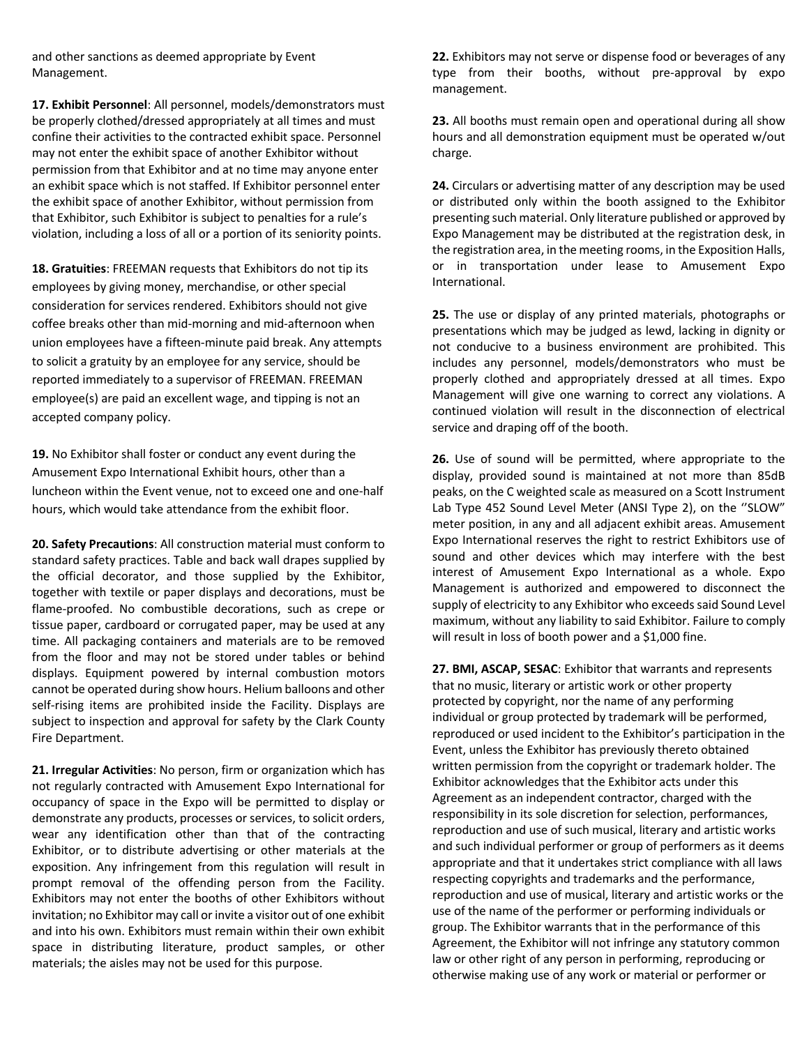and other sanctions as deemed appropriate by Event Management.

**17. Exhibit Personnel**: All personnel, models/demonstrators must be properly clothed/dressed appropriately at all times and must confine their activities to the contracted exhibit space. Personnel may not enter the exhibit space of another Exhibitor without permission from that Exhibitor and at no time may anyone enter an exhibit space which is not staffed. If Exhibitor personnel enter the exhibit space of another Exhibitor, without permission from that Exhibitor, such Exhibitor is subject to penalties for a rule's violation, including a loss of all or a portion of its seniority points.

**18. Gratuities**: FREEMAN requests that Exhibitors do not tip its employees by giving money, merchandise, or other special consideration for services rendered. Exhibitors should not give coffee breaks other than mid-morning and mid-afternoon when union employees have a fifteen-minute paid break. Any attempts to solicit a gratuity by an employee for any service, should be reported immediately to a supervisor of FREEMAN. FREEMAN employee(s) are paid an excellent wage, and tipping is not an accepted company policy.

**19.** No Exhibitor shall foster or conduct any event during the Amusement Expo International Exhibit hours, other than a luncheon within the Event venue, not to exceed one and one-half hours, which would take attendance from the exhibit floor.

**20. Safety Precautions**: All construction material must conform to standard safety practices. Table and back wall drapes supplied by the official decorator, and those supplied by the Exhibitor, together with textile or paper displays and decorations, must be flame-proofed. No combustible decorations, such as crepe or tissue paper, cardboard or corrugated paper, may be used at any time. All packaging containers and materials are to be removed from the floor and may not be stored under tables or behind displays. Equipment powered by internal combustion motors cannot be operated during show hours. Helium balloons and other self-rising items are prohibited inside the Facility. Displays are subject to inspection and approval for safety by the Clark County Fire Department.

**21. Irregular Activities**: No person, firm or organization which has not regularly contracted with Amusement Expo International for occupancy of space in the Expo will be permitted to display or demonstrate any products, processes or services, to solicit orders, wear any identification other than that of the contracting Exhibitor, or to distribute advertising or other materials at the exposition. Any infringement from this regulation will result in prompt removal of the offending person from the Facility. Exhibitors may not enter the booths of other Exhibitors without invitation; no Exhibitor may call or invite a visitor out of one exhibit and into his own. Exhibitors must remain within their own exhibit space in distributing literature, product samples, or other materials; the aisles may not be used for this purpose.

**22.** Exhibitors may not serve or dispense food or beverages of any type from their booths, without pre-approval by expo management.

**23.** All booths must remain open and operational during all show hours and all demonstration equipment must be operated w/out charge.

**24.** Circulars or advertising matter of any description may be used or distributed only within the booth assigned to the Exhibitor presenting such material. Only literature published or approved by Expo Management may be distributed at the registration desk, in the registration area, in the meeting rooms, in the Exposition Halls, or in transportation under lease to Amusement Expo International.

**25.** The use or display of any printed materials, photographs or presentations which may be judged as lewd, lacking in dignity or not conducive to a business environment are prohibited. This includes any personnel, models/demonstrators who must be properly clothed and appropriately dressed at all times. Expo Management will give one warning to correct any violations. A continued violation will result in the disconnection of electrical service and draping off of the booth.

**26.** Use of sound will be permitted, where appropriate to the display, provided sound is maintained at not more than 85dB peaks, on the C weighted scale as measured on a Scott Instrument Lab Type 452 Sound Level Meter (ANSI Type 2), on the "SLOW" meter position, in any and all adjacent exhibit areas. Amusement Expo International reserves the right to restrict Exhibitors use of sound and other devices which may interfere with the best interest of Amusement Expo International as a whole. Expo Management is authorized and empowered to disconnect the supply of electricity to any Exhibitor who exceeds said Sound Level maximum, without any liability to said Exhibitor. Failure to comply will result in loss of booth power and a \$1,000 fine.

**27. BMI, ASCAP, SESAC**: Exhibitor that warrants and represents that no music, literary or artistic work or other property protected by copyright, nor the name of any performing individual or group protected by trademark will be performed, reproduced or used incident to the Exhibitor's participation in the Event, unless the Exhibitor has previously thereto obtained written permission from the copyright or trademark holder. The Exhibitor acknowledges that the Exhibitor acts under this Agreement as an independent contractor, charged with the responsibility in its sole discretion for selection, performances, reproduction and use of such musical, literary and artistic works and such individual performer or group of performers as it deems appropriate and that it undertakes strict compliance with all laws respecting copyrights and trademarks and the performance, reproduction and use of musical, literary and artistic works or the use of the name of the performer or performing individuals or group. The Exhibitor warrants that in the performance of this Agreement, the Exhibitor will not infringe any statutory common law or other right of any person in performing, reproducing or otherwise making use of any work or material or performer or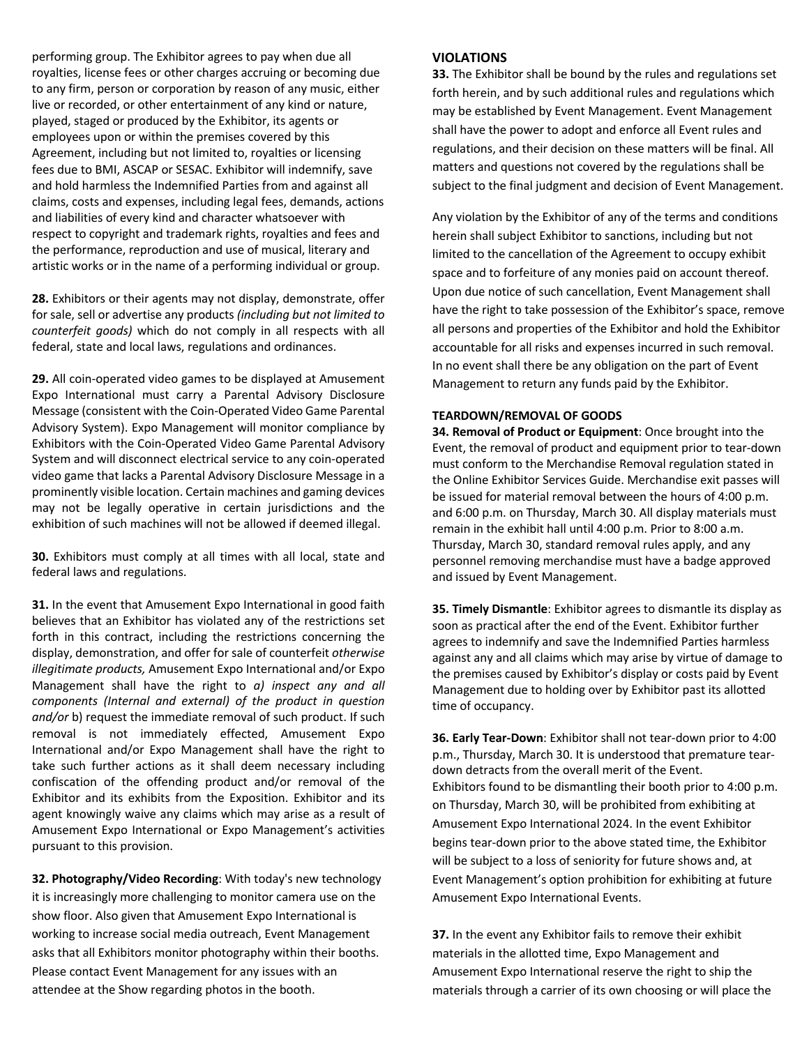performing group. The Exhibitor agrees to pay when due all royalties, license fees or other charges accruing or becoming due to any firm, person or corporation by reason of any music, either live or recorded, or other entertainment of any kind or nature, played, staged or produced by the Exhibitor, its agents or employees upon or within the premises covered by this Agreement, including but not limited to, royalties or licensing fees due to BMI, ASCAP or SESAC. Exhibitor will indemnify, save and hold harmless the Indemnified Parties from and against all claims, costs and expenses, including legal fees, demands, actions and liabilities of every kind and character whatsoever with respect to copyright and trademark rights, royalties and fees and the performance, reproduction and use of musical, literary and artistic works or in the name of a performing individual or group.

**28.** Exhibitors or their agents may not display, demonstrate, offer for sale, sell or advertise any products *(including but not limited to counterfeit goods)* which do not comply in all respects with all federal, state and local laws, regulations and ordinances.

**29.** All coin-operated video games to be displayed at Amusement Expo International must carry a Parental Advisory Disclosure Message (consistent with the Coin-Operated Video Game Parental Advisory System). Expo Management will monitor compliance by Exhibitors with the Coin-Operated Video Game Parental Advisory System and will disconnect electrical service to any coin-operated video game that lacks a Parental Advisory Disclosure Message in a prominently visible location. Certain machines and gaming devices may not be legally operative in certain jurisdictions and the exhibition of such machines will not be allowed if deemed illegal.

**30.** Exhibitors must comply at all times with all local, state and federal laws and regulations.

**31.** In the event that Amusement Expo International in good faith believes that an Exhibitor has violated any of the restrictions set forth in this contract, including the restrictions concerning the display, demonstration, and offer for sale of counterfeit *otherwise illegitimate products,* Amusement Expo International and/or Expo Management shall have the right to *a) inspect any and all components (Internal and external) of the product in question and/or* b) request the immediate removal of such product. If such removal is not immediately effected, Amusement Expo International and/or Expo Management shall have the right to take such further actions as it shall deem necessary including confiscation of the offending product and/or removal of the Exhibitor and its exhibits from the Exposition. Exhibitor and its agent knowingly waive any claims which may arise as a result of Amusement Expo International or Expo Management's activities pursuant to this provision.

**32. Photography/Video Recording**: With today's new technology it is increasingly more challenging to monitor camera use on the show floor. Also given that Amusement Expo International is working to increase social media outreach, Event Management asks that all Exhibitors monitor photography within their booths. Please contact Event Management for any issues with an attendee at the Show regarding photos in the booth.

#### **VIOLATIONS**

**33.** The Exhibitor shall be bound by the rules and regulations set forth herein, and by such additional rules and regulations which may be established by Event Management. Event Management shall have the power to adopt and enforce all Event rules and regulations, and their decision on these matters will be final. All matters and questions not covered by the regulations shall be subject to the final judgment and decision of Event Management.

Any violation by the Exhibitor of any of the terms and conditions herein shall subject Exhibitor to sanctions, including but not limited to the cancellation of the Agreement to occupy exhibit space and to forfeiture of any monies paid on account thereof. Upon due notice of such cancellation, Event Management shall have the right to take possession of the Exhibitor's space, remove all persons and properties of the Exhibitor and hold the Exhibitor accountable for all risks and expenses incurred in such removal. In no event shall there be any obligation on the part of Event Management to return any funds paid by the Exhibitor.

## **TEARDOWN/REMOVAL OF GOODS**

**34. Removal of Product or Equipment**: Once brought into the Event, the removal of product and equipment prior to tear-down must conform to the Merchandise Removal regulation stated in the Online Exhibitor Services Guide. Merchandise exit passes will be issued for material removal between the hours of 4:00 p.m. and 6:00 p.m. on Thursday, March 30. All display materials must remain in the exhibit hall until 4:00 p.m. Prior to 8:00 a.m. Thursday, March 30, standard removal rules apply, and any personnel removing merchandise must have a badge approved and issued by Event Management.

**35. Timely Dismantle**: Exhibitor agrees to dismantle its display as soon as practical after the end of the Event. Exhibitor further agrees to indemnify and save the Indemnified Parties harmless against any and all claims which may arise by virtue of damage to the premises caused by Exhibitor's display or costs paid by Event Management due to holding over by Exhibitor past its allotted time of occupancy.

**36. Early Tear-Down**: Exhibitor shall not tear-down prior to 4:00 p.m., Thursday, March 30. It is understood that premature teardown detracts from the overall merit of the Event. Exhibitors found to be dismantling their booth prior to 4:00 p.m. on Thursday, March 30, will be prohibited from exhibiting at Amusement Expo International 2024. In the event Exhibitor begins tear-down prior to the above stated time, the Exhibitor will be subject to a loss of seniority for future shows and, at Event Management's option prohibition for exhibiting at future Amusement Expo International Events.

**37.** In the event any Exhibitor fails to remove their exhibit materials in the allotted time, Expo Management and Amusement Expo International reserve the right to ship the materials through a carrier of its own choosing or will place the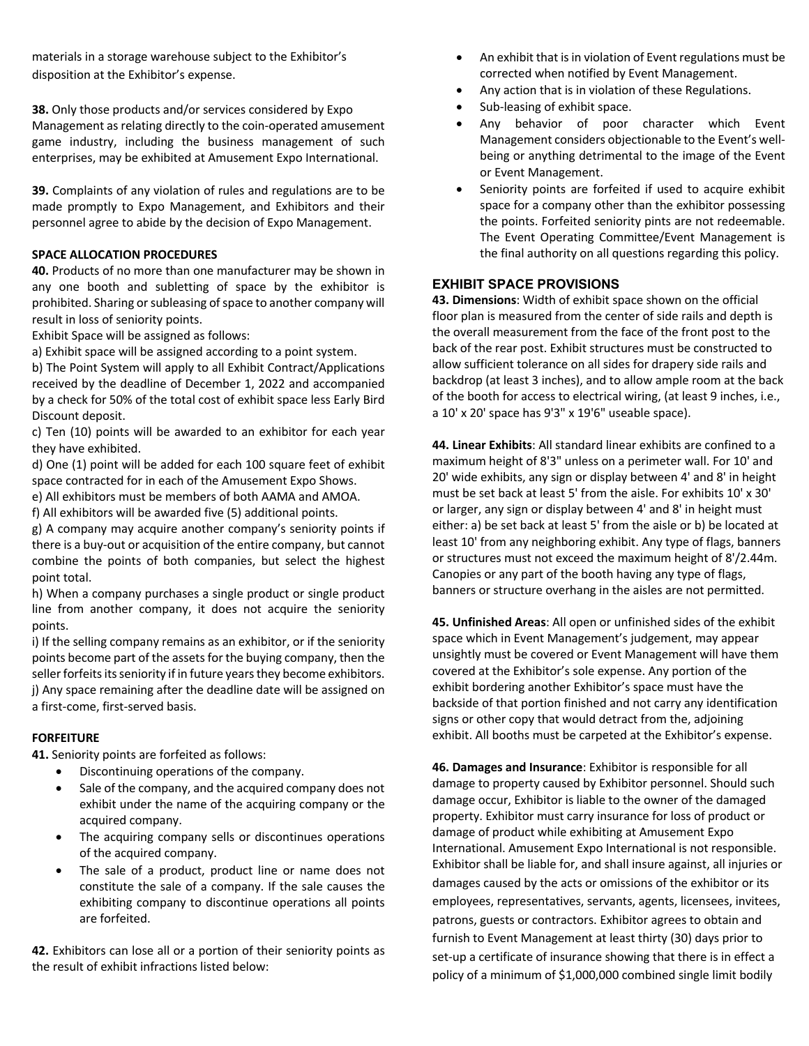materials in a storage warehouse subject to the Exhibitor's disposition at the Exhibitor's expense.

**38.** Only those products and/or services considered by Expo Management as relating directly to the coin-operated amusement game industry, including the business management of such enterprises, may be exhibited at Amusement Expo International.

**39.** Complaints of any violation of rules and regulations are to be made promptly to Expo Management, and Exhibitors and their personnel agree to abide by the decision of Expo Management.

## **SPACE ALLOCATION PROCEDURES**

**40.** Products of no more than one manufacturer may be shown in any one booth and subletting of space by the exhibitor is prohibited. Sharing or subleasing of space to another company will result in loss of seniority points.

Exhibit Space will be assigned as follows:

a) Exhibit space will be assigned according to a point system.

b) The Point System will apply to all Exhibit Contract/Applications received by the deadline of December 1, 2022 and accompanied by a check for 50% of the total cost of exhibit space less Early Bird Discount deposit.

c) Ten (10) points will be awarded to an exhibitor for each year they have exhibited.

d) One (1) point will be added for each 100 square feet of exhibit space contracted for in each of the Amusement Expo Shows.

e) All exhibitors must be members of both AAMA and AMOA.

f) All exhibitors will be awarded five (5) additional points.

g) A company may acquire another company's seniority points if there is a buy-out or acquisition of the entire company, but cannot combine the points of both companies, but select the highest point total.

h) When a company purchases a single product or single product line from another company, it does not acquire the seniority points.

i) If the selling company remains as an exhibitor, or if the seniority points become part of the assets for the buying company, then the seller forfeits its seniority if in future years they become exhibitors. j) Any space remaining after the deadline date will be assigned on a first-come, first-served basis.

# **FORFEITURE**

**41.** Seniority points are forfeited as follows:

- Discontinuing operations of the company.
- Sale of the company, and the acquired company does not exhibit under the name of the acquiring company or the acquired company.
- The acquiring company sells or discontinues operations of the acquired company.
- The sale of a product, product line or name does not constitute the sale of a company. If the sale causes the exhibiting company to discontinue operations all points are forfeited.

**42.** Exhibitors can lose all or a portion of their seniority points as the result of exhibit infractions listed below:

- An exhibit that is in violation of Event regulations must be corrected when notified by Event Management.
- Any action that is in violation of these Regulations.
- Sub-leasing of exhibit space.
- Any behavior of poor character which Event Management considers objectionable to the Event's wellbeing or anything detrimental to the image of the Event or Event Management.
- Seniority points are forfeited if used to acquire exhibit space for a company other than the exhibitor possessing the points. Forfeited seniority pints are not redeemable. The Event Operating Committee/Event Management is the final authority on all questions regarding this policy.

# **EXHIBIT SPACE PROVISIONS**

**43. Dimensions**: Width of exhibit space shown on the official floor plan is measured from the center of side rails and depth is the overall measurement from the face of the front post to the back of the rear post. Exhibit structures must be constructed to allow sufficient tolerance on all sides for drapery side rails and backdrop (at least 3 inches), and to allow ample room at the back of the booth for access to electrical wiring, (at least 9 inches, i.e., a 10' x 20' space has 9'3" x 19'6" useable space).

**44. Linear Exhibits**: All standard linear exhibits are confined to a maximum height of 8'3" unless on a perimeter wall. For 10' and 20' wide exhibits, any sign or display between 4' and 8' in height must be set back at least 5' from the aisle. For exhibits 10' x 30' or larger, any sign or display between 4' and 8' in height must either: a) be set back at least 5' from the aisle or b) be located at least 10' from any neighboring exhibit. Any type of flags, banners or structures must not exceed the maximum height of 8'/2.44m. Canopies or any part of the booth having any type of flags, banners or structure overhang in the aisles are not permitted.

**45. Unfinished Areas**: All open or unfinished sides of the exhibit space which in Event Management's judgement, may appear unsightly must be covered or Event Management will have them covered at the Exhibitor's sole expense. Any portion of the exhibit bordering another Exhibitor's space must have the backside of that portion finished and not carry any identification signs or other copy that would detract from the, adjoining exhibit. All booths must be carpeted at the Exhibitor's expense.

**46. Damages and Insurance**: Exhibitor is responsible for all damage to property caused by Exhibitor personnel. Should such damage occur, Exhibitor is liable to the owner of the damaged property. Exhibitor must carry insurance for loss of product or damage of product while exhibiting at Amusement Expo International. Amusement Expo International is not responsible. Exhibitor shall be liable for, and shall insure against, all injuries or damages caused by the acts or omissions of the exhibitor or its employees, representatives, servants, agents, licensees, invitees, patrons, guests or contractors. Exhibitor agrees to obtain and furnish to Event Management at least thirty (30) days prior to set-up a certificate of insurance showing that there is in effect a policy of a minimum of \$1,000,000 combined single limit bodily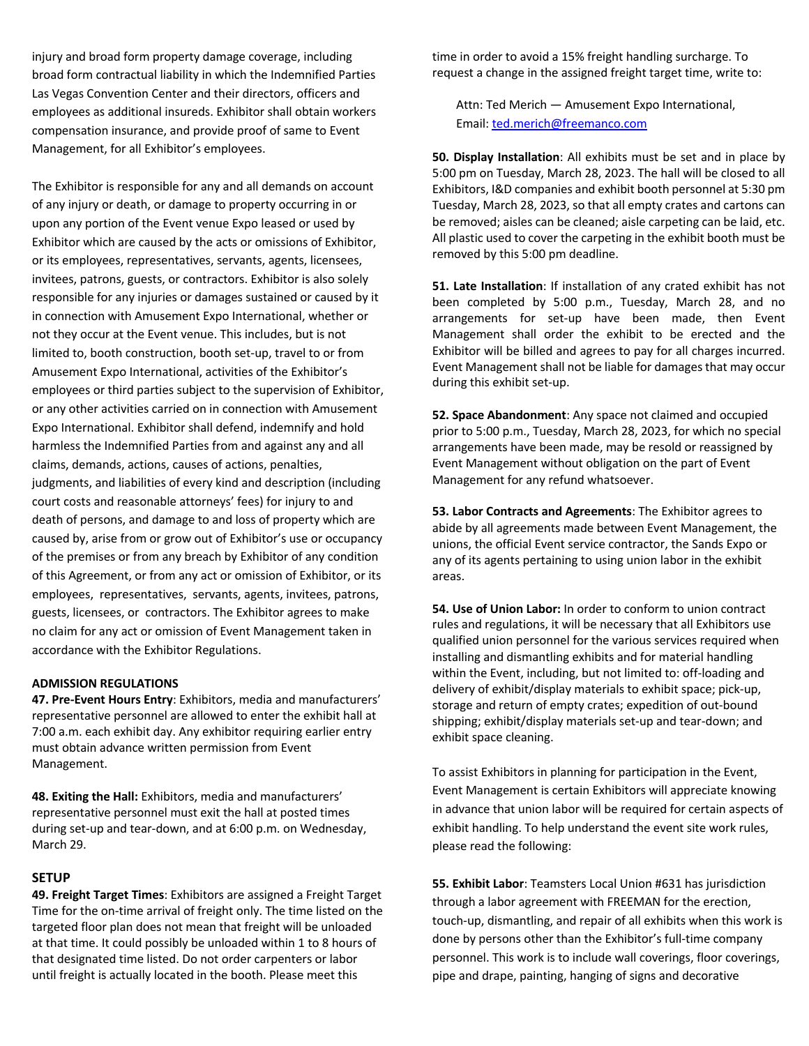injury and broad form property damage coverage, including broad form contractual liability in which the Indemnified Parties Las Vegas Convention Center and their directors, officers and employees as additional insureds. Exhibitor shall obtain workers compensation insurance, and provide proof of same to Event Management, for all Exhibitor's employees.

The Exhibitor is responsible for any and all demands on account of any injury or death, or damage to property occurring in or upon any portion of the Event venue Expo leased or used by Exhibitor which are caused by the acts or omissions of Exhibitor, or its employees, representatives, servants, agents, licensees, invitees, patrons, guests, or contractors. Exhibitor is also solely responsible for any injuries or damages sustained or caused by it in connection with Amusement Expo International, whether or not they occur at the Event venue. This includes, but is not limited to, booth construction, booth set-up, travel to or from Amusement Expo International, activities of the Exhibitor's employees or third parties subject to the supervision of Exhibitor, or any other activities carried on in connection with Amusement Expo International. Exhibitor shall defend, indemnify and hold harmless the Indemnified Parties from and against any and all claims, demands, actions, causes of actions, penalties, judgments, and liabilities of every kind and description (including court costs and reasonable attorneys' fees) for injury to and death of persons, and damage to and loss of property which are caused by, arise from or grow out of Exhibitor's use or occupancy of the premises or from any breach by Exhibitor of any condition of this Agreement, or from any act or omission of Exhibitor, or its employees, representatives, servants, agents, invitees, patrons, guests, licensees, or contractors. The Exhibitor agrees to make no claim for any act or omission of Event Management taken in accordance with the Exhibitor Regulations.

#### **ADMISSION REGULATIONS**

**47. Pre-Event Hours Entry**: Exhibitors, media and manufacturers' representative personnel are allowed to enter the exhibit hall at 7:00 a.m. each exhibit day. Any exhibitor requiring earlier entry must obtain advance written permission from Event Management.

**48. Exiting the Hall:** Exhibitors, media and manufacturers' representative personnel must exit the hall at posted times during set-up and tear-down, and at 6:00 p.m. on Wednesday, March 29.

## **SETUP**

**49. Freight Target Times**: Exhibitors are assigned a Freight Target Time for the on-time arrival of freight only. The time listed on the targeted floor plan does not mean that freight will be unloaded at that time. It could possibly be unloaded within 1 to 8 hours of that designated time listed. Do not order carpenters or labor until freight is actually located in the booth. Please meet this

time in order to avoid a 15% freight handling surcharge. To request a change in the assigned freight target time, write to:

Attn: Ted Merich — Amusement Expo International, Email: ted.merich@freemanco.com

**50. Display Installation**: All exhibits must be set and in place by 5:00 pm on Tuesday, March 28, 2023. The hall will be closed to all Exhibitors, I&D companies and exhibit booth personnel at 5:30 pm Tuesday, March 28, 2023, so that all empty crates and cartons can be removed; aisles can be cleaned; aisle carpeting can be laid, etc. All plastic used to cover the carpeting in the exhibit booth must be removed by this 5:00 pm deadline.

**51. Late Installation**: If installation of any crated exhibit has not been completed by 5:00 p.m., Tuesday, March 28, and no arrangements for set-up have been made, then Event Management shall order the exhibit to be erected and the Exhibitor will be billed and agrees to pay for all charges incurred. Event Management shall not be liable for damages that may occur during this exhibit set-up.

**52. Space Abandonment**: Any space not claimed and occupied prior to 5:00 p.m., Tuesday, March 28, 2023, for which no special arrangements have been made, may be resold or reassigned by Event Management without obligation on the part of Event Management for any refund whatsoever.

**53. Labor Contracts and Agreements**: The Exhibitor agrees to abide by all agreements made between Event Management, the unions, the official Event service contractor, the Sands Expo or any of its agents pertaining to using union labor in the exhibit areas.

**54. Use of Union Labor:** In order to conform to union contract rules and regulations, it will be necessary that all Exhibitors use qualified union personnel for the various services required when installing and dismantling exhibits and for material handling within the Event, including, but not limited to: off-loading and delivery of exhibit/display materials to exhibit space; pick-up, storage and return of empty crates; expedition of out-bound shipping; exhibit/display materials set-up and tear-down; and exhibit space cleaning.

To assist Exhibitors in planning for participation in the Event, Event Management is certain Exhibitors will appreciate knowing in advance that union labor will be required for certain aspects of exhibit handling. To help understand the event site work rules, please read the following:

**55. Exhibit Labor**: Teamsters Local Union #631 has jurisdiction through a labor agreement with FREEMAN for the erection, touch-up, dismantling, and repair of all exhibits when this work is done by persons other than the Exhibitor's full-time company personnel. This work is to include wall coverings, floor coverings, pipe and drape, painting, hanging of signs and decorative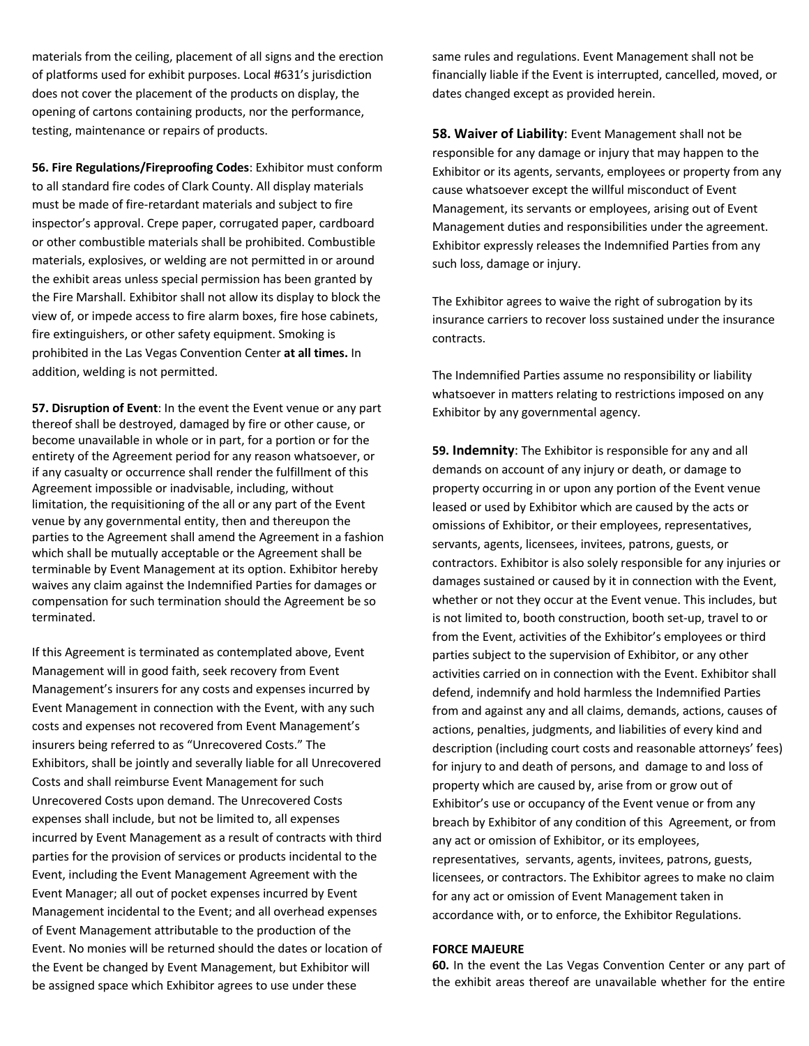materials from the ceiling, placement of all signs and the erection of platforms used for exhibit purposes. Local #631's jurisdiction does not cover the placement of the products on display, the opening of cartons containing products, nor the performance, testing, maintenance or repairs of products.

**56. Fire Regulations/Fireproofing Codes**: Exhibitor must conform to all standard fire codes of Clark County. All display materials must be made of fire-retardant materials and subject to fire inspector's approval. Crepe paper, corrugated paper, cardboard or other combustible materials shall be prohibited. Combustible materials, explosives, or welding are not permitted in or around the exhibit areas unless special permission has been granted by the Fire Marshall. Exhibitor shall not allow its display to block the view of, or impede access to fire alarm boxes, fire hose cabinets, fire extinguishers, or other safety equipment. Smoking is prohibited in the Las Vegas Convention Center **at all times.** In addition, welding is not permitted.

**57. Disruption of Event**: In the event the Event venue or any part thereof shall be destroyed, damaged by fire or other cause, or become unavailable in whole or in part, for a portion or for the entirety of the Agreement period for any reason whatsoever, or if any casualty or occurrence shall render the fulfillment of this Agreement impossible or inadvisable, including, without limitation, the requisitioning of the all or any part of the Event venue by any governmental entity, then and thereupon the parties to the Agreement shall amend the Agreement in a fashion which shall be mutually acceptable or the Agreement shall be terminable by Event Management at its option. Exhibitor hereby waives any claim against the Indemnified Parties for damages or compensation for such termination should the Agreement be so terminated.

If this Agreement is terminated as contemplated above, Event Management will in good faith, seek recovery from Event Management's insurers for any costs and expenses incurred by Event Management in connection with the Event, with any such costs and expenses not recovered from Event Management's insurers being referred to as "Unrecovered Costs." The Exhibitors, shall be jointly and severally liable for all Unrecovered Costs and shall reimburse Event Management for such Unrecovered Costs upon demand. The Unrecovered Costs expenses shall include, but not be limited to, all expenses incurred by Event Management as a result of contracts with third parties for the provision of services or products incidental to the Event, including the Event Management Agreement with the Event Manager; all out of pocket expenses incurred by Event Management incidental to the Event; and all overhead expenses of Event Management attributable to the production of the Event. No monies will be returned should the dates or location of the Event be changed by Event Management, but Exhibitor will be assigned space which Exhibitor agrees to use under these

same rules and regulations. Event Management shall not be financially liable if the Event is interrupted, cancelled, moved, or dates changed except as provided herein.

**58. Waiver of Liability**: Event Management shall not be responsible for any damage or injury that may happen to the Exhibitor or its agents, servants, employees or property from any cause whatsoever except the willful misconduct of Event Management, its servants or employees, arising out of Event Management duties and responsibilities under the agreement. Exhibitor expressly releases the Indemnified Parties from any such loss, damage or injury.

The Exhibitor agrees to waive the right of subrogation by its insurance carriers to recover loss sustained under the insurance contracts.

The Indemnified Parties assume no responsibility or liability whatsoever in matters relating to restrictions imposed on any Exhibitor by any governmental agency.

**59. Indemnity**: The Exhibitor is responsible for any and all demands on account of any injury or death, or damage to property occurring in or upon any portion of the Event venue leased or used by Exhibitor which are caused by the acts or omissions of Exhibitor, or their employees, representatives, servants, agents, licensees, invitees, patrons, guests, or contractors. Exhibitor is also solely responsible for any injuries or damages sustained or caused by it in connection with the Event, whether or not they occur at the Event venue. This includes, but is not limited to, booth construction, booth set-up, travel to or from the Event, activities of the Exhibitor's employees or third parties subject to the supervision of Exhibitor, or any other activities carried on in connection with the Event. Exhibitor shall defend, indemnify and hold harmless the Indemnified Parties from and against any and all claims, demands, actions, causes of actions, penalties, judgments, and liabilities of every kind and description (including court costs and reasonable attorneys' fees) for injury to and death of persons, and damage to and loss of property which are caused by, arise from or grow out of Exhibitor's use or occupancy of the Event venue or from any breach by Exhibitor of any condition of this Agreement, or from any act or omission of Exhibitor, or its employees, representatives, servants, agents, invitees, patrons, guests, licensees, or contractors. The Exhibitor agrees to make no claim for any act or omission of Event Management taken in accordance with, or to enforce, the Exhibitor Regulations.

#### **FORCE MAJEURE**

**60.** In the event the Las Vegas Convention Center or any part of the exhibit areas thereof are unavailable whether for the entire